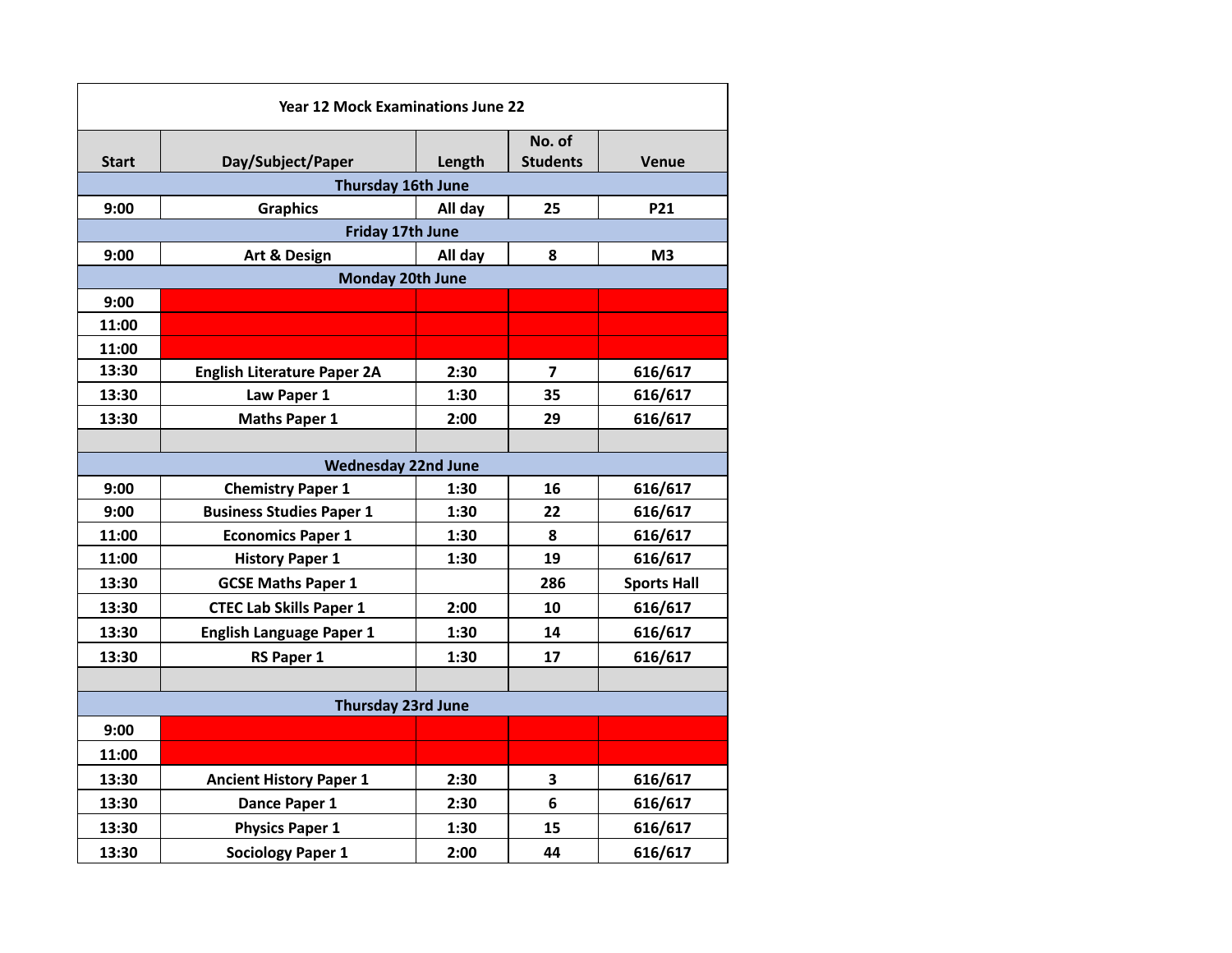| <b>Year 12 Mock Examinations June 22</b> |                                    |         |                 |                    |  |  |  |
|------------------------------------------|------------------------------------|---------|-----------------|--------------------|--|--|--|
|                                          |                                    |         | No. of          |                    |  |  |  |
| <b>Start</b>                             | Day/Subject/Paper                  | Length  | <b>Students</b> | <b>Venue</b>       |  |  |  |
|                                          | Thursday 16th June                 |         |                 |                    |  |  |  |
| 9:00                                     | <b>Graphics</b>                    | All day | 25              | <b>P21</b>         |  |  |  |
| Friday 17th June                         |                                    |         |                 |                    |  |  |  |
| 9:00                                     | Art & Design                       | All day | 8               | M <sub>3</sub>     |  |  |  |
|                                          | <b>Monday 20th June</b>            |         |                 |                    |  |  |  |
| 9:00                                     |                                    |         |                 |                    |  |  |  |
| 11:00                                    |                                    |         |                 |                    |  |  |  |
| 11:00                                    |                                    |         |                 |                    |  |  |  |
| 13:30                                    | <b>English Literature Paper 2A</b> | 2:30    | 7               | 616/617            |  |  |  |
| 13:30                                    | Law Paper 1                        | 1:30    | 35              | 616/617            |  |  |  |
| 13:30                                    | <b>Maths Paper 1</b>               | 2:00    | 29              | 616/617            |  |  |  |
|                                          |                                    |         |                 |                    |  |  |  |
| <b>Wednesday 22nd June</b>               |                                    |         |                 |                    |  |  |  |
| 9:00                                     | <b>Chemistry Paper 1</b>           | 1:30    | 16              | 616/617            |  |  |  |
| 9:00                                     | <b>Business Studies Paper 1</b>    | 1:30    | 22              | 616/617            |  |  |  |
| 11:00                                    | <b>Economics Paper 1</b>           | 1:30    | 8               | 616/617            |  |  |  |
| 11:00                                    | <b>History Paper 1</b>             | 1:30    | 19              | 616/617            |  |  |  |
| 13:30                                    | <b>GCSE Maths Paper 1</b>          |         | 286             | <b>Sports Hall</b> |  |  |  |
| 13:30                                    | <b>CTEC Lab Skills Paper 1</b>     | 2:00    | 10              | 616/617            |  |  |  |
| 13:30                                    | <b>English Language Paper 1</b>    | 1:30    | 14              | 616/617            |  |  |  |
| 13:30                                    | <b>RS Paper 1</b>                  | 1:30    | 17              | 616/617            |  |  |  |
|                                          |                                    |         |                 |                    |  |  |  |
| <b>Thursday 23rd June</b>                |                                    |         |                 |                    |  |  |  |
| 9:00                                     |                                    |         |                 |                    |  |  |  |
| 11:00                                    |                                    |         |                 |                    |  |  |  |
| 13:30                                    | <b>Ancient History Paper 1</b>     | 2:30    | 3               | 616/617            |  |  |  |
| 13:30                                    | Dance Paper 1                      | 2:30    | 6               | 616/617            |  |  |  |
| 13:30                                    | <b>Physics Paper 1</b>             | 1:30    | 15              | 616/617            |  |  |  |
| 13:30                                    | <b>Sociology Paper 1</b>           | 2:00    | 44              | 616/617            |  |  |  |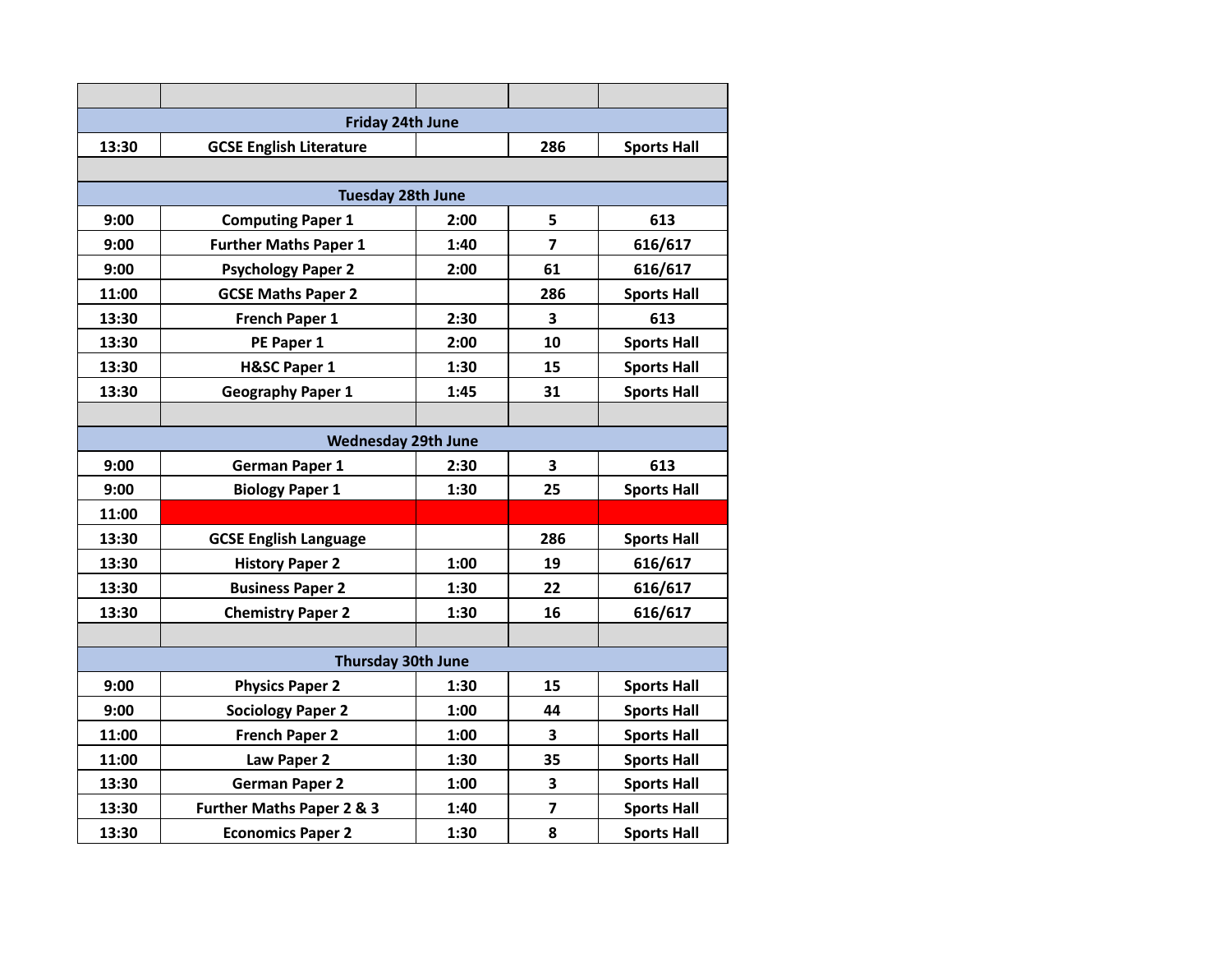| <b>Friday 24th June</b>    |                                      |      |                         |                    |  |  |  |
|----------------------------|--------------------------------------|------|-------------------------|--------------------|--|--|--|
| 13:30                      | <b>GCSE English Literature</b>       |      | 286                     | <b>Sports Hall</b> |  |  |  |
|                            |                                      |      |                         |                    |  |  |  |
| <b>Tuesday 28th June</b>   |                                      |      |                         |                    |  |  |  |
| 9:00                       | <b>Computing Paper 1</b>             | 2:00 | 5                       | 613                |  |  |  |
| 9:00                       | <b>Further Maths Paper 1</b>         | 1:40 | $\overline{\mathbf{z}}$ | 616/617            |  |  |  |
| 9:00                       | <b>Psychology Paper 2</b>            | 2:00 | 61                      | 616/617            |  |  |  |
| 11:00                      | <b>GCSE Maths Paper 2</b>            |      | 286                     | <b>Sports Hall</b> |  |  |  |
| 13:30                      | French Paper 1                       | 2:30 | $\overline{\mathbf{3}}$ | 613                |  |  |  |
| 13:30                      | PE Paper 1                           | 2:00 | 10                      | <b>Sports Hall</b> |  |  |  |
| 13:30                      | <b>H&amp;SC Paper 1</b>              | 1:30 | 15                      | <b>Sports Hall</b> |  |  |  |
| 13:30                      | <b>Geography Paper 1</b>             | 1:45 | 31                      | <b>Sports Hall</b> |  |  |  |
|                            |                                      |      |                         |                    |  |  |  |
| <b>Wednesday 29th June</b> |                                      |      |                         |                    |  |  |  |
| 9:00                       | <b>German Paper 1</b>                | 2:30 | 3                       | 613                |  |  |  |
| 9:00                       | <b>Biology Paper 1</b>               | 1:30 | 25                      | <b>Sports Hall</b> |  |  |  |
| 11:00                      |                                      |      |                         |                    |  |  |  |
| 13:30                      | <b>GCSE English Language</b>         |      | 286                     | <b>Sports Hall</b> |  |  |  |
| 13:30                      | <b>History Paper 2</b>               | 1:00 | 19                      | 616/617            |  |  |  |
| 13:30                      | <b>Business Paper 2</b>              | 1:30 | 22                      | 616/617            |  |  |  |
| 13:30                      | <b>Chemistry Paper 2</b>             | 1:30 | 16                      | 616/617            |  |  |  |
|                            |                                      |      |                         |                    |  |  |  |
| <b>Thursday 30th June</b>  |                                      |      |                         |                    |  |  |  |
| 9:00                       | <b>Physics Paper 2</b>               | 1:30 | 15                      | <b>Sports Hall</b> |  |  |  |
| 9:00                       | <b>Sociology Paper 2</b>             | 1:00 | 44                      | <b>Sports Hall</b> |  |  |  |
| 11:00                      | <b>French Paper 2</b>                | 1:00 | 3                       | <b>Sports Hall</b> |  |  |  |
| 11:00                      | Law Paper 2                          | 1:30 | 35                      | <b>Sports Hall</b> |  |  |  |
| 13:30                      | <b>German Paper 2</b>                | 1:00 | $\overline{\mathbf{3}}$ | <b>Sports Hall</b> |  |  |  |
| 13:30                      | <b>Further Maths Paper 2 &amp; 3</b> | 1:40 | $\overline{\mathbf{z}}$ | <b>Sports Hall</b> |  |  |  |
| 13:30                      | <b>Economics Paper 2</b>             | 1:30 | 8                       | <b>Sports Hall</b> |  |  |  |